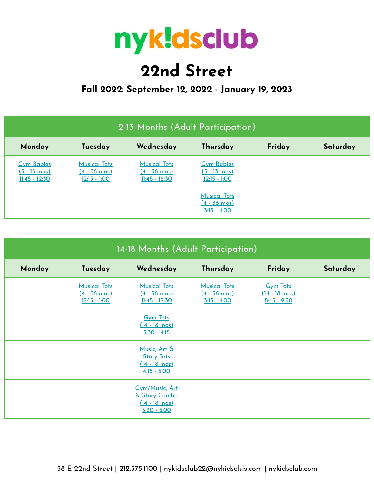

# **22nd Street**

### **Fall 2022: September 12, 2022 - January 19, 2023**

| 2-13 Months (Adult Participation)                                |                                                                 |                                                                  |                                                                |  |  |  |
|------------------------------------------------------------------|-----------------------------------------------------------------|------------------------------------------------------------------|----------------------------------------------------------------|--|--|--|
| Wednesday<br>Thursday<br>Friday<br>Monday<br>Tuesday<br>Saturday |                                                                 |                                                                  |                                                                |  |  |  |
| <b>Gym Babies</b><br>$(5 - 13 \text{ mos})$<br>$11:45 - 12:30$   | <b>Musical Tots</b><br>$(4 - 36 \text{ mos})$<br>$12:15 - 1:00$ | <b>Musical Tots</b><br>$(4 - 36 \text{ mos})$<br>$11:45 - 12:30$ | <b>Gym Babies</b><br>$(5 - 13 \text{ mos})$<br>$12:15 - 1:00$  |  |  |  |
|                                                                  |                                                                 |                                                                  | <b>Musical Tots</b><br>$(4 - 36 \text{ mos})$<br>$3:15 - 4:00$ |  |  |  |

| 14-18 Months (Adult Participation) |                                                                 |                                                                               |                                                                |                                                             |          |  |  |
|------------------------------------|-----------------------------------------------------------------|-------------------------------------------------------------------------------|----------------------------------------------------------------|-------------------------------------------------------------|----------|--|--|
| Monday                             | Tuesday                                                         | Wednesday                                                                     | Thursday                                                       | Friday                                                      | Saturday |  |  |
|                                    | <b>Musical Tots</b><br>$(4 - 36 \text{ mos})$<br>$12:15 - 1:00$ | <b>Musical Tots</b><br>$(4 - 36 \text{ mos})$<br>$11:45 - 12:30$              | <b>Musical Tots</b><br>$(4 - 36 \text{ mos})$<br>$3:15 - 4:00$ | <b>Gym Tots</b><br>$(14 - 18 \text{ mos})$<br>$8:45 - 9:30$ |          |  |  |
|                                    |                                                                 | <b>Gym Tots</b><br>$(14 - 18 \text{ mos})$<br>$3:30 - 4:15$                   |                                                                |                                                             |          |  |  |
|                                    |                                                                 | Music, Art &<br><b>Story Tots</b><br>$(14 - 18 \text{ mos})$<br>$4:15 - 5:00$ |                                                                |                                                             |          |  |  |
|                                    |                                                                 | Gym/Music, Art<br>& Story Combo<br>$(14 - 18 \text{ mos})$<br>$3:30 - 5:00$   |                                                                |                                                             |          |  |  |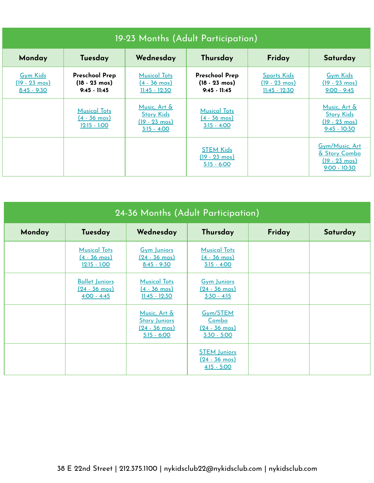| 19-23 Months (Adult Participation)                       |                                                                    |                                                                                   |                                                                    |                                                                  |                                                                                |  |  |
|----------------------------------------------------------|--------------------------------------------------------------------|-----------------------------------------------------------------------------------|--------------------------------------------------------------------|------------------------------------------------------------------|--------------------------------------------------------------------------------|--|--|
| Monday                                                   | Tuesday                                                            | Wednesday                                                                         | Thursday                                                           | Friday                                                           | Saturday                                                                       |  |  |
| <b>Gym Kids</b><br><u>(19 - 23 mos)</u><br>$8:45 - 9:30$ | <b>Preschool Prep</b><br>$(18 - 23 \text{ mos})$<br>$9:45 - 11:45$ | <b>Musical Tots</b><br>$(4 - 36 \text{ mos})$<br>$11:45 - 12:30$                  | <b>Preschool Prep</b><br>$(18 - 23 \text{ mos})$<br>$9:45 - 11:45$ | <b>Sports Kids</b><br>$(19 - 23 \text{ mos})$<br>$11:45 - 12:30$ | <b>Gym Kids</b><br>$(19 - 23 \text{ mos})$<br>$9:00 - 9:45$                    |  |  |
|                                                          | <b>Musical Tots</b><br>$(4 - 36 \text{ mos})$<br>$12:15 - 1:00$    | Music, Art &<br><b><u>Story Kids</u></b><br><u>(19 - 23 mos)</u><br>$3:15 - 4:00$ | <b>Musical Tots</b><br>$(4 - 36 \text{ mos})$<br>$3:15 - 4:00$     |                                                                  | Music, Art &<br><b>Story Kids</b><br>$(19 - 23 \text{ mos})$<br>$9:45 - 10:30$ |  |  |
|                                                          |                                                                    |                                                                                   | <b>STEM Kids</b><br>$(19 - 23 \text{ mos})$<br>$5:15 - 6:00$       |                                                                  | Gym/Music, Art<br>& Story Combo<br><u>(19 - 23 mos)</u><br>$9:00 - 10:30$      |  |  |

| 24-36 Months (Adult Participation) |                                                                 |                                                                                  |                                                                 |        |          |  |
|------------------------------------|-----------------------------------------------------------------|----------------------------------------------------------------------------------|-----------------------------------------------------------------|--------|----------|--|
| Monday                             | Tuesday                                                         | Wednesday                                                                        | Thursday                                                        | Friday | Saturday |  |
|                                    | <b>Musical Tots</b><br>$(4 - 36 \text{ mos})$<br>$12:15 - 1:00$ | <b>Gym Juniors</b><br>$(24 - 36 \text{ mos})$<br>$8:45 - 9:30$                   | <b>Musical Tots</b><br>$(4 - 36 \text{ mos})$<br>$3:15 - 4:00$  |        |          |  |
|                                    | <b>Ballet Juniors</b><br><u>(24 - 36 mos)</u><br>$4:00 - 4:45$  | <b>Musical Tots</b><br>$(4 - 36 \text{ mos})$<br><u> 11:45 - 12:30</u>           | <b>Gym Juniors</b><br>$(24 - 36 \text{ mos})$<br>$3:30 - 4:15$  |        |          |  |
|                                    |                                                                 | Music, Art &<br><b>Story Juniors</b><br>$(24 - 36 \text{ mos})$<br>$5:15 - 6:00$ | Gym/STEM<br>Combo<br>$(24 - 36 \text{ mos})$<br>$3:30 - 5:00$   |        |          |  |
|                                    |                                                                 |                                                                                  | <b>STEM Juniors</b><br>$(24 - 36 \text{ mos})$<br>$4:15 - 5:00$ |        |          |  |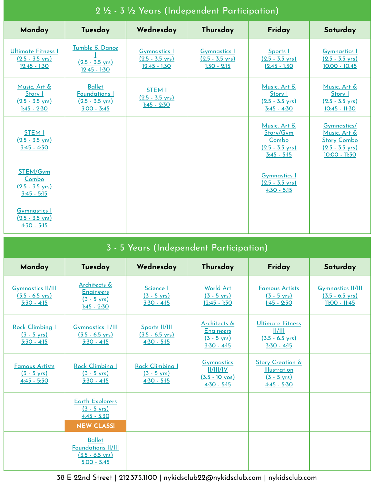| Monday                                                                   | Tuesday                                                                             | Wednesday                                                          | Thursday                                                          | Friday                                                                           | Saturday                                                                                        |
|--------------------------------------------------------------------------|-------------------------------------------------------------------------------------|--------------------------------------------------------------------|-------------------------------------------------------------------|----------------------------------------------------------------------------------|-------------------------------------------------------------------------------------------------|
| <b>Ultimate Fitness I</b><br>$(2.5 - 3.5 \text{ yrs})$<br>$12:45 - 1:30$ | Tumble & Dance<br>$(2.5 - 3.5 \text{ yrs})$<br>$12:45 - 1:30$                       | <b>Gymnastics I</b><br>$(2.5 - 3.5 \text{ yrs})$<br>$12:45 - 1:30$ | <b>Gymnastics I</b><br>$(2.5 - 3.5 \text{ yrs})$<br>$1:30 - 2:15$ | Sports I<br>$(2.5 - 3.5 \text{ yrs})$<br>$12:45 - 1:30$                          | <b>Gymnastics</b> 1<br>$(2.5 - 3.5 \text{ yrs})$<br>$10:00 - 10:45$                             |
| Music, Art &<br>Story I<br>$(2.5 - 3.5 \text{ yrs})$<br>$1:45 - 2:30$    | <b>Ballet</b><br><b>Foundations I</b><br>$(2.5 - 3.5 \text{ yrs})$<br>$3:00 - 3:45$ | <b>STEM I</b><br>$(2.5 - 3.5 \text{ yrs})$<br>$1:45 - 2:30$        |                                                                   | Music, Art &<br>Story I<br>$(2.5 - 3.5 \text{ yrs})$<br>$3:45 - 4:30$            | Music, Art &<br>Story I<br>$(2.5 - 3.5 \text{ yrs})$<br>$10:45 - 11:30$                         |
| <b>STEM I</b><br>$(2.5 - 3.5 \text{ yrs})$<br>$3:45 - 4:30$              |                                                                                     |                                                                    |                                                                   | Music, Art &<br>Story/Gym<br>Combo<br>$(2.5 - 3.5 \text{ vrs})$<br>$3:45 - 5:15$ | Gymnastics/<br>Music, Art &<br><b>Story Combo</b><br>$(2.5 - 3.5 \text{ vrs})$<br>10:00 - 11:30 |
| STEM/Gym<br>Combo<br>$(2.5 - 3.5 \text{ yrs})$<br>$3:45 - 5:15$          |                                                                                     |                                                                    |                                                                   | <b>Gymnastics 1</b><br>$(2.5 - 3.5 \text{ vrs})$<br>$4:30 - 5:15$                |                                                                                                 |
| <b>Gymnastics 1</b><br>$(2.5 - 3.5 \text{ yrs})$<br>$4:30 - 5:15$        |                                                                                     |                                                                    |                                                                   |                                                                                  |                                                                                                 |

### 2 ½ - 3 ½ Years (Independent Participation)

## 3 - 5 Years (Independent Participation)

| Monday                                                                 | Tuesday                                                                                  | Wednesday                                                   | Thursday                                                                    | Friday                                                                                       | Saturday                                                                 |
|------------------------------------------------------------------------|------------------------------------------------------------------------------------------|-------------------------------------------------------------|-----------------------------------------------------------------------------|----------------------------------------------------------------------------------------------|--------------------------------------------------------------------------|
| <b>Gymnastics II/III</b><br>$(3.5 - 6.5 \text{ yrs})$<br>$3:30 - 4:15$ | Architects &<br><b>Engineers</b><br>$(3 - 5 \text{ yrs})$<br>$1:45 - 2:30$               | Science I<br>$(3 - 5 \text{ yrs})$<br>$3:30 - 4:15$         | <b>World Art</b><br>$(3 - 5 \text{ yrs})$<br>$12:45 - 1:30$                 | <b>Famous Artists</b><br>$(3 - 5 \text{ yrs})$<br>$1:45 - 2:30$                              | <b>Gymnastics II/III</b><br>$(3.5 - 6.5 \text{ yrs})$<br>$11:00 - 11:45$ |
| Rock Climbing I<br>$(3 - 5 \text{ yrs})$<br>$3:30 - 4:15$              | <b>Gymnastics II/III</b><br>$(3.5 - 6.5 \text{ yrs})$<br>$3:30 - 4:15$                   | Sports II/III<br>$(3.5 - 6.5 \text{ yrs})$<br>$4:30 - 5:15$ | Architects &<br><b>Engineers</b><br>$(3 - 5 \text{ yrs})$<br>$3:30 - 4:15$  | <b>Ultimate Fitness</b><br>II/III<br>$(3.5 - 6.5 \text{ yrs})$<br>$3:30 - 4:15$              |                                                                          |
| <b>Famous Artists</b><br>$(3 - 5 \text{ vrs})$<br>$4:45 - 5:30$        | Rock Climbing I<br>$(3 - 5 \text{ yrs})$<br>$3:30 - 4:15$                                | Rock Climbing I<br>$(3 - 5 \text{ vrs})$<br>$4:30 - 5:15$   | <b>Gymnastics</b><br>II/III/IV<br>$(3.5 - 10 \text{ yos})$<br>$4:30 - 5:15$ | <b>Story Creation &amp;</b><br><b>Illustration</b><br>$(3 - 5 \text{ yrs})$<br>$4:45 - 5:30$ |                                                                          |
|                                                                        | <b>Earth Explorers</b><br>$(3 - 5 \text{ yrs})$<br>$4:45 - 5:30$<br><b>NEW CLASS!</b>    |                                                             |                                                                             |                                                                                              |                                                                          |
|                                                                        | <b>Ballet</b><br><b>Foundations II/III</b><br>$(3.5 - 6.5 \text{ yrs})$<br>$5:00 - 5:45$ |                                                             |                                                                             |                                                                                              |                                                                          |

38 E 22nd Street | 212.375.1100 | nykidsclub22@nykidsclub.com | nykidsclub.com